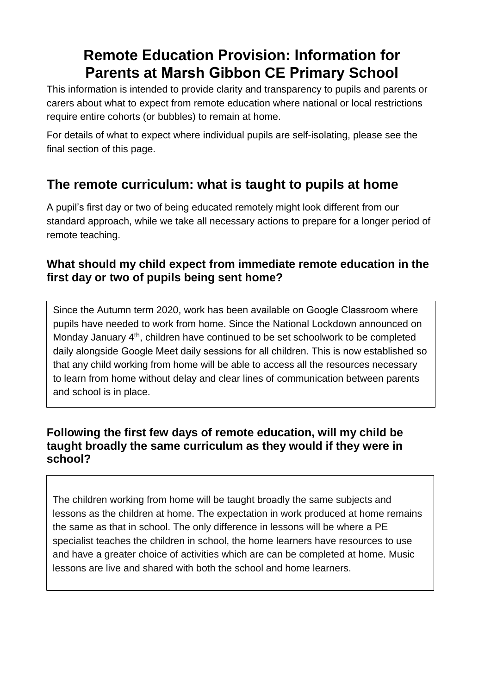# **Remote Education Provision: Information for Parents at Marsh Gibbon CE Primary School**

This information is intended to provide clarity and transparency to pupils and parents or carers about what to expect from remote education where national or local restrictions require entire cohorts (or bubbles) to remain at home.

For details of what to expect where individual pupils are self-isolating, please see the final section of this page.

# **The remote curriculum: what is taught to pupils at home**

A pupil's first day or two of being educated remotely might look different from our standard approach, while we take all necessary actions to prepare for a longer period of remote teaching.

### **What should my child expect from immediate remote education in the first day or two of pupils being sent home?**

Since the Autumn term 2020, work has been available on Google Classroom where pupils have needed to work from home. Since the National Lockdown announced on Monday January 4<sup>th</sup>, children have continued to be set schoolwork to be completed daily alongside Google Meet daily sessions for all children. This is now established so that any child working from home will be able to access all the resources necessary to learn from home without delay and clear lines of communication between parents and school is in place.

### **Following the first few days of remote education, will my child be taught broadly the same curriculum as they would if they were in school?**

The children working from home will be taught broadly the same subjects and lessons as the children at home. The expectation in work produced at home remains the same as that in school. The only difference in lessons will be where a PE specialist teaches the children in school, the home learners have resources to use and have a greater choice of activities which are can be completed at home. Music lessons are live and shared with both the school and home learners.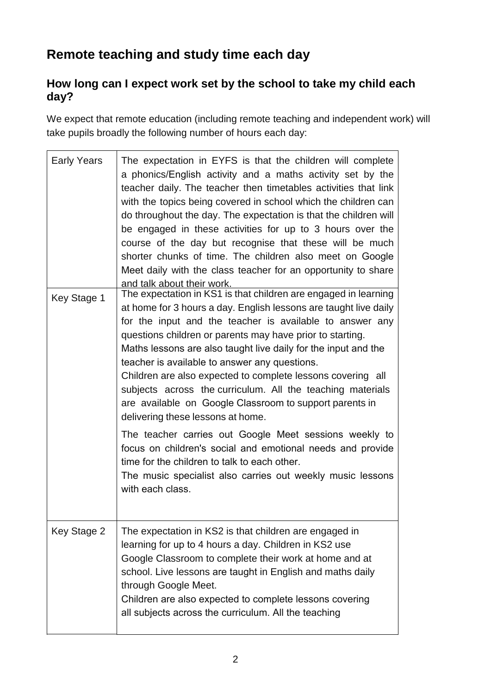# **Remote teaching and study time each day**

### **How long can I expect work set by the school to take my child each day?**

We expect that remote education (including remote teaching and independent work) will take pupils broadly the following number of hours each day:

| <b>Early Years</b> | The expectation in EYFS is that the children will complete<br>a phonics/English activity and a maths activity set by the<br>teacher daily. The teacher then timetables activities that link<br>with the topics being covered in school which the children can<br>do throughout the day. The expectation is that the children will<br>be engaged in these activities for up to 3 hours over the<br>course of the day but recognise that these will be much<br>shorter chunks of time. The children also meet on Google<br>Meet daily with the class teacher for an opportunity to share<br>and talk about their work. |
|--------------------|----------------------------------------------------------------------------------------------------------------------------------------------------------------------------------------------------------------------------------------------------------------------------------------------------------------------------------------------------------------------------------------------------------------------------------------------------------------------------------------------------------------------------------------------------------------------------------------------------------------------|
| Key Stage 1        | The expectation in KS1 is that children are engaged in learning<br>at home for 3 hours a day. English lessons are taught live daily<br>for the input and the teacher is available to answer any<br>questions children or parents may have prior to starting.<br>Maths lessons are also taught live daily for the input and the<br>teacher is available to answer any questions.<br>Children are also expected to complete lessons covering all<br>subjects across the curriculum. All the teaching materials<br>are available on Google Classroom to support parents in<br>delivering these lessons at home.         |
|                    | The teacher carries out Google Meet sessions weekly to<br>focus on children's social and emotional needs and provide<br>time for the children to talk to each other.<br>The music specialist also carries out weekly music lessons<br>with each class.                                                                                                                                                                                                                                                                                                                                                               |
| Key Stage 2        | The expectation in KS2 is that children are engaged in<br>learning for up to 4 hours a day. Children in KS2 use<br>Google Classroom to complete their work at home and at<br>school. Live lessons are taught in English and maths daily<br>through Google Meet.<br>Children are also expected to complete lessons covering<br>all subjects across the curriculum. All the teaching                                                                                                                                                                                                                                   |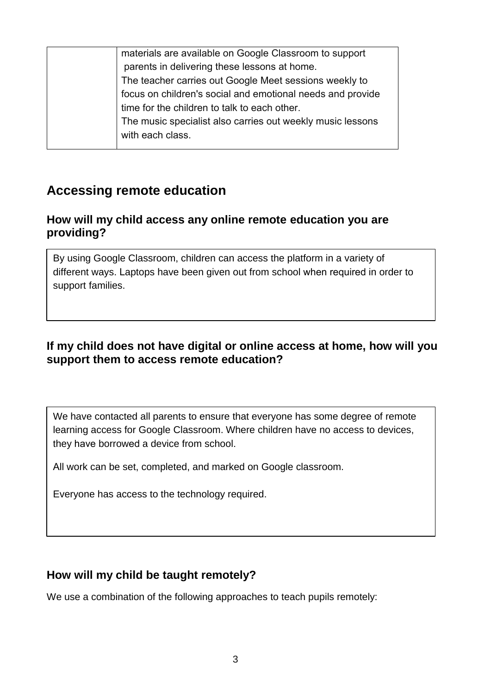| materials are available on Google Classroom to support     |
|------------------------------------------------------------|
| parents in delivering these lessons at home.               |
| The teacher carries out Google Meet sessions weekly to     |
| focus on children's social and emotional needs and provide |
| time for the children to talk to each other.               |
| The music specialist also carries out weekly music lessons |
| with each class.                                           |
|                                                            |

## **Accessing remote education**

#### **How will my child access any online remote education you are providing?**

By using Google Classroom, children can access the platform in a variety of different ways. Laptops have been given out from school when required in order to support families.

### **If my child does not have digital or online access at home, how will you support them to access remote education?**

We have contacted all parents to ensure that everyone has some degree of remote learning access for Google Classroom. Where children have no access to devices, they have borrowed a device from school.

All work can be set, completed, and marked on Google classroom.

Everyone has access to the technology required.

#### **How will my child be taught remotely?**

We use a combination of the following approaches to teach pupils remotely: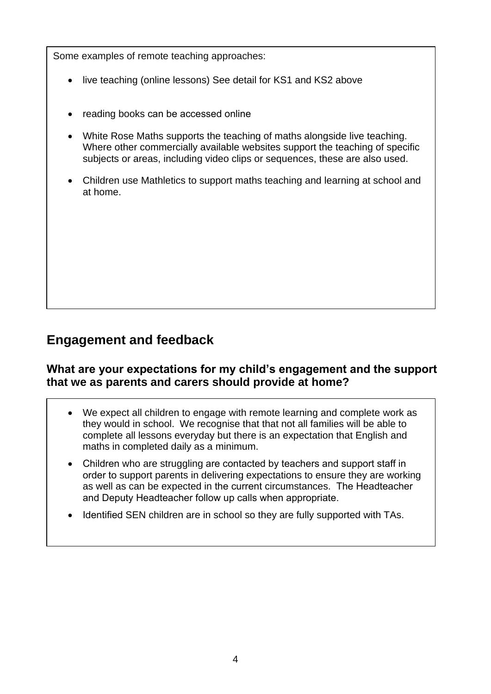Some examples of remote teaching approaches:

- live teaching (online lessons) See detail for KS1 and KS2 above
- reading books can be accessed online
- White Rose Maths supports the teaching of maths alongside live teaching. Where other commercially available websites support the teaching of specific subjects or areas, including video clips or sequences, these are also used.
- Children use Mathletics to support maths teaching and learning at school and at home.

## **Engagement and feedback**

#### **What are your expectations for my child's engagement and the support that we as parents and carers should provide at home?**

- We expect all children to engage with remote learning and complete work as they would in school. We recognise that that not all families will be able to complete all lessons everyday but there is an expectation that English and maths in completed daily as a minimum.
- Children who are struggling are contacted by teachers and support staff in order to support parents in delivering expectations to ensure they are working as well as can be expected in the current circumstances. The Headteacher and Deputy Headteacher follow up calls when appropriate.
- Identified SEN children are in school so they are fully supported with TAs.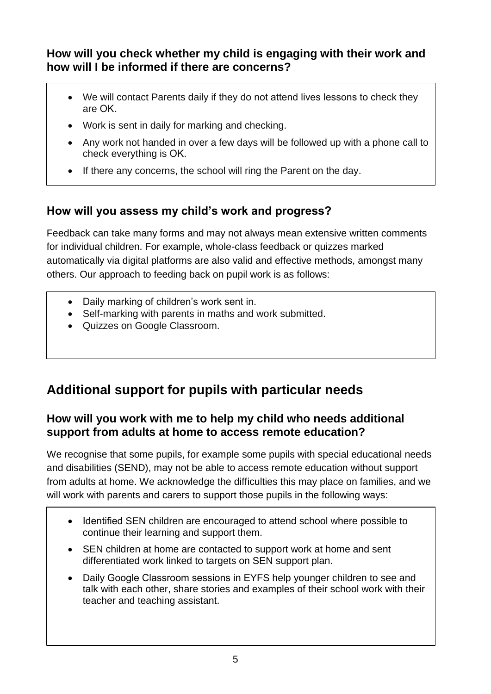### **How will you check whether my child is engaging with their work and how will I be informed if there are concerns?**

- We will contact Parents daily if they do not attend lives lessons to check they are OK.
- Work is sent in daily for marking and checking.
- Any work not handed in over a few days will be followed up with a phone call to check everything is OK.
- If there any concerns, the school will ring the Parent on the day.

## **How will you assess my child's work and progress?**

Feedback can take many forms and may not always mean extensive written comments for individual children. For example, whole-class feedback or quizzes marked automatically via digital platforms are also valid and effective methods, amongst many others. Our approach to feeding back on pupil work is as follows:

- Daily marking of children's work sent in.
- Self-marking with parents in maths and work submitted.
- Quizzes on Google Classroom.

# **Additional support for pupils with particular needs**

### **How will you work with me to help my child who needs additional support from adults at home to access remote education?**

We recognise that some pupils, for example some pupils with special educational needs and disabilities (SEND), may not be able to access remote education without support from adults at home. We acknowledge the difficulties this may place on families, and we will work with parents and carers to support those pupils in the following ways:

- Identified SEN children are encouraged to attend school where possible to continue their learning and support them.
- SEN children at home are contacted to support work at home and sent differentiated work linked to targets on SEN support plan.
- Daily Google Classroom sessions in EYFS help younger children to see and talk with each other, share stories and examples of their school work with their teacher and teaching assistant.